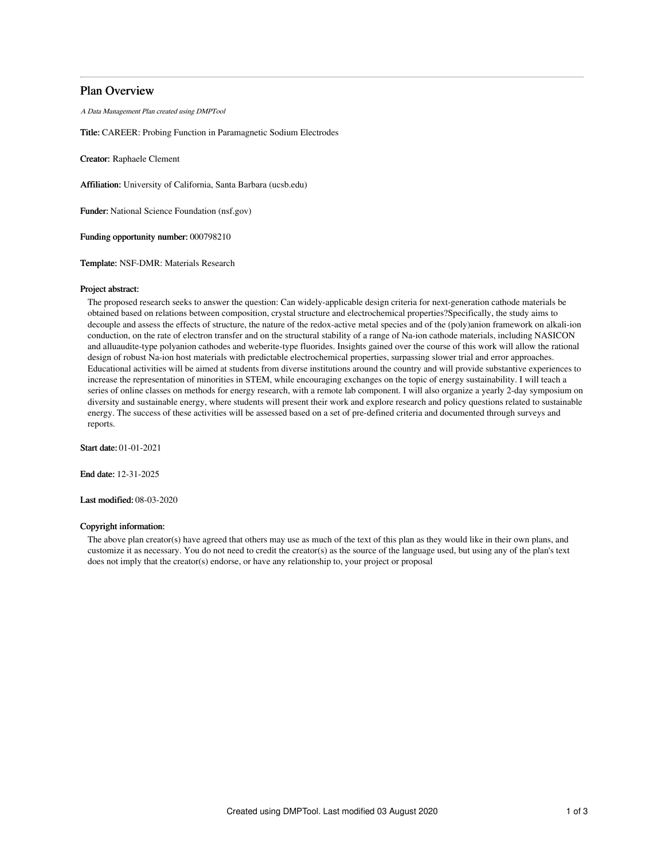# Plan Overview

A Data Management Plan created using DMPTool

Title: CAREER: Probing Function in Paramagnetic Sodium Electrodes

Creator: Raphaele Clement

Affiliation: University of California, Santa Barbara (ucsb.edu)

Funder: National Science Foundation (nsf.gov)

Funding opportunity number: 000798210

Template: NSF-DMR: Materials Research

### Project abstract:

The proposed research seeks to answer the question: Can widely-applicable design criteria for next-generation cathode materials be obtained based on relations between composition, crystal structure and electrochemical properties?Specifically, the study aims to decouple and assess the effects of structure, the nature of the redox-active metal species and of the (poly)anion framework on alkali-ion conduction, on the rate of electron transfer and on the structural stability of a range of Na-ion cathode materials, including NASICON and alluaudite-type polyanion cathodes and weberite-type fluorides. Insights gained over the course of this work will allow the rational design of robust Na-ion host materials with predictable electrochemical properties, surpassing slower trial and error approaches. Educational activities will be aimed at students from diverse institutions around the country and will provide substantive experiences to increase the representation of minorities in STEM, while encouraging exchanges on the topic of energy sustainability. I will teach a series of online classes on methods for energy research, with a remote lab component. I will also organize a yearly 2-day symposium on diversity and sustainable energy, where students will present their work and explore research and policy questions related to sustainable energy. The success of these activities will be assessed based on a set of pre-defined criteria and documented through surveys and reports.

Start date: 01-01-2021

End date: 12-31-2025

Last modified: 08-03-2020

## Copyright information:

The above plan creator(s) have agreed that others may use as much of the text of this plan as they would like in their own plans, and customize it as necessary. You do not need to credit the creator(s) as the source of the language used, but using any of the plan's text does not imply that the creator(s) endorse, or have any relationship to, your project or proposal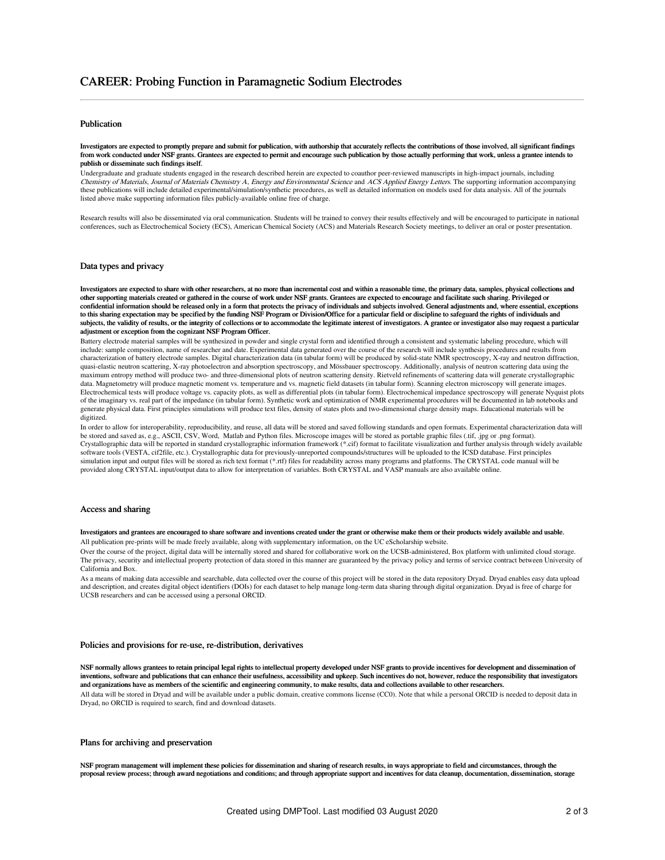# Publication

Investigators are expected to promptly prepare and submit for publication, with authorship that accurately reflects the contributions of those involved, all significant findings from work conducted under NSF grants. Grantees are expected to permit and encourage such publication by those actually performing that work, unless a grantee intends to publish or disseminate such findings itself.

Undergraduate and graduate students engaged in the research described herein are expected to coauthor peer-reviewed manuscripts in high-impact journals, including Chemistry of Materials, Journal of Materials Chemistry <sup>A</sup>, Energy and Environmental Science and ACS Applied Energy Letters. The supporting information accompanying these publications will include detailed experimental/simulation/synthetic procedures, as well as detailed information on models used for data analysis. All of the journals listed above make supporting information files publicly-available online free of charge.

Research results will also be disseminated via oral communication. Students will be trained to convey their results effectively and will be encouraged to participate in national conferences, such as Electrochemical Society (ECS), American Chemical Society (ACS) and Materials Research Society meetings, to deliver an oral or poster presentation.

### Data types and privacy

Investigators are expected to share with other researchers, at no more than incremental cost and within a reasonable time, the primary data, samples, physical collections and other supporting materials created or gathered in the course of work under NSF grants. Grantees are expected to encourage and facilitate such sharing. Privileged or confidential information should be released only in a form that protects the privacy of individuals and subjects involved. General adjustments and, where essential, exceptions to this sharing expectation may be specified by the funding NSF Program or Division/Office for a particular field or discipline to safeguard the rights of individuals and subjects, the validity of results, or the integrity of collections or to accommodate the legitimate interest of investigators. A grantee or investigator also may request a particular adjustment or exception from the cognizant NSF Program Officer.

Battery electrode material samples will be synthesized in powder and single crystal form and identified through a consistent and systematic labeling procedure, which will include: sample composition, name of researcher and date. Experimental data generated over the course of the research will include synthesis procedures and results from characterization of battery electrode samples. Digital characterization data (in tabular form) will be produced by solid-state NMR spectroscopy, X-ray and neutron diffraction, quasi-elastic neutron scattering, X-ray photoelectron and absorption spectroscopy, and Mössbauer spectroscopy. Additionally, analysis of neutron scattering data using the maximum entropy method will produce two- and three-dimensional plots of neutron scattering density. Rietveld refinements of scattering data will generate crystallographic data. Magnetometry will produce magnetic moment vs. temperature and vs. magnetic field datasets (in tabular form). Scanning electron microscopy will generate image Electrochemical tests will produce voltage vs. capacity plots, as well as differential plots (in tabular form). Electrochemical impedance spectroscopy will generate Nyquist plots of the imaginary vs. real part of the impedance (in tabular form). Synthetic work and optimization of NMR experimental procedures will be documented in lab notebooks and generate physical data. First principles simulations will produce text files, density of states plots and two-dimensional charge density maps. Educational materials will be digitized.

In order to allow for interoperability, reproducibility, and reuse, all data will be stored and saved following standards and open formats. Experimental characterization data will be stored and saved as, e.g., ASCII, CSV, Word, Matlab and Python files. Microscope images will be stored as portable graphic files (.tif, .jpg or .png format). Crystallographic data will be reported in standard crystallographic information framework (\*.cif) format to facilitate visualization and further analysis through widely available software tools (VESTA, cif2file, etc.). Crystallographic data for previously-unreported compounds/structures will be uploaded to the ICSD database. First principles simulation input and output files will be stored as rich text format (\*.rtf) files for readability across many programs and platforms. The CRYSTAL code manual will be provided along CRYSTAL input/output data to allow for interpretation of variables. Both CRYSTAL and VASP manuals are also available online.

#### Access and sharing

#### Investigators and grantees are encouraged to share software and inventions created under the grant or otherwise make them or their products widely available and usable.

All publication pre-prints will be made freely available, along with supplementary information, on the UC eScholarship website.

Over the course of the project, digital data will be internally stored and shared for collaborative work on the UCSB-administered, Box platform with unlimited cloud storage. The privacy, security and intellectual property protection of data stored in this manner are guaranteed by the privacy policy and terms of service contract between University of California and Box.

As a means of making data accessible and searchable, data collected over the course of this project will be stored in the data repository Dryad. Dryad enables easy data upload and description, and creates digital object identifiers (DOIs) for each dataset to help manage long-term data sharing through digital organization. Dryad is free of charge for UCSB researchers and can be accessed using a personal ORCID.

### Policies and provisions for re-use, re-distribution, derivatives

NSF normally allows grantees to retain principal legal rights to intellectual property developed under NSF grants to provide incentives for development and dissemination of inventions, software and publications that can enhance their usefulness, accessibility and upkeep. Such incentives do not, however, reduce the responsibility that investigators and organizations have as members of the scientific and engineering community, to make results, data and collections available to other researchers.

All data will be stored in Dryad and will be available under a public domain, creative commons license (CC0). Note that while a personal ORCID is needed to deposit data in Dryad, no ORCID is required to search, find and download datasets.

### Plans for archiving and preservation

NSF program management will implement these policies for dissemination and sharing of research results, in ways appropriate to field and circumstances, through the proposal review process; through award negotiations and conditions; and through appropriate support and incentives for data cleanup, documentation, dissemination, storage